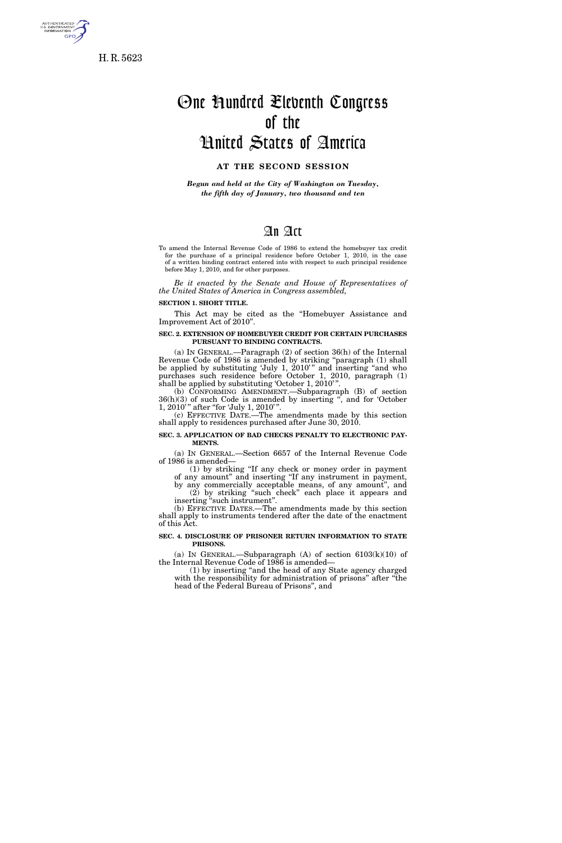

H. R. 5623

# One Hundred Eleventh Congress of the United States of America

## **AT THE SECOND SESSION**

*Begun and held at the City of Washington on Tuesday, the fifth day of January, two thousand and ten* 

## An Act

To amend the Internal Revenue Code of 1986 to extend the homebuyer tax credit for the purchase of a principal residence before October 1, 2010, in the case of a written binding contract entered into with respect to such principal residence before May 1, 2010, and for other purposes.

*Be it enacted by the Senate and House of Representatives of the United States of America in Congress assembled,* 

#### **SECTION 1. SHORT TITLE.**

This Act may be cited as the ''Homebuyer Assistance and Improvement Act of 2010''.

#### **SEC. 2. EXTENSION OF HOMEBUYER CREDIT FOR CERTAIN PURCHASES PURSUANT TO BINDING CONTRACTS.**

(a) IN GENERAL.—Paragraph (2) of section 36(h) of the Internal Revenue Code of 1986 is amended by striking ''paragraph (1) shall be applied by substituting 'July 1, 2010'" and inserting "and who purchases such residence before October 1, 2010, paragraph (1) shall be applied by substituting 'October 1, 2010'"

(b) CONFORMING AMENDMENT.—Subparagraph (B) of section 36(h)(3) of such Code is amended by inserting '', and for 'October 1, 2010'" after "for 'July 1, 2010'".

(c) EFFECTIVE DATE.—The amendments made by this section shall apply to residences purchased after June 30, 2010.

**SEC. 3. APPLICATION OF BAD CHECKS PENALTY TO ELECTRONIC PAY-MENTS.** 

(a) IN GENERAL.—Section 6657 of the Internal Revenue Code of 1986 is amended—

(1) by striking ''If any check or money order in payment of any amount'' and inserting ''If any instrument in payment,

by any commercially acceptable means, of any amount'', and (2) by striking ''such check'' each place it appears and inserting ''such instrument''.

(b) EFFECTIVE DATES.—The amendments made by this section shall apply to instruments tendered after the date of the enactment of this Act.

#### **SEC. 4. DISCLOSURE OF PRISONER RETURN INFORMATION TO STATE PRISONS.**

(a) IN GENERAL.—Subparagraph  $(A)$  of section  $6103(k)(10)$  of the Internal Revenue Code of 1986 is amended—

(1) by inserting ''and the head of any State agency charged with the responsibility for administration of prisons" after "the head of the Federal Bureau of Prisons'', and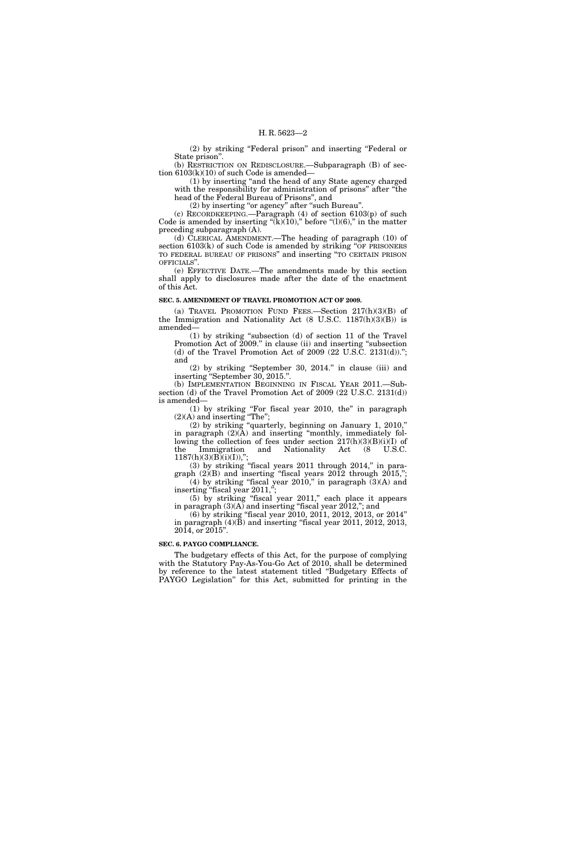(2) by striking ''Federal prison'' and inserting ''Federal or State prison''.

(b) RESTRICTION ON REDISCLOSURE.—Subparagraph (B) of section  $6103(k)(10)$  of such Code is amended-

(1) by inserting ''and the head of any State agency charged with the responsibility for administration of prisons" after "the head of the Federal Bureau of Prisons'', and

(2) by inserting ''or agency'' after ''such Bureau''.

(c) RECORDKEEPING.—Paragraph (4) of section 6103(p) of such Code is amended by inserting " $(k)(10)$ ," before " $(l)(6)$ ," in the matter preceding subparagraph (A).

(d) CLERICAL AMENDMENT.—The heading of paragraph (10) of section  $6103(k)$  of such Code is amended by striking "OF PRISONERS" TO FEDERAL BUREAU OF PRISONS'' and inserting ''TO CERTAIN PRISON OFFICIALS''.

(e) EFFECTIVE DATE.—The amendments made by this section shall apply to disclosures made after the date of the enactment of this Act.

#### **SEC. 5. AMENDMENT OF TRAVEL PROMOTION ACT OF 2009.**

(a) TRAVEL PROMOTION FUND FEES.—Section 217(h)(3)(B) of the Immigration and Nationality Act (8 U.S.C. 1187(h)(3)(B)) is amended—

(1) by striking ''subsection (d) of section 11 of the Travel Promotion Act of 2009.'' in clause (ii) and inserting ''subsection (d) of the Travel Promotion Act of 2009 (22 U.S.C. 2131(d))."; and

(2) by striking ''September 30, 2014.'' in clause (iii) and inserting ''September 30, 2015.''.

(b) IMPLEMENTATION BEGINNING IN FISCAL YEAR 2011.—Subsection (d) of the Travel Promotion Act of 2009 (22 U.S.C. 2131(d)) is amended—

(1) by striking ''For fiscal year 2010, the'' in paragraph  $(2)(A)$  and inserting "The";

(2) by striking ''quarterly, beginning on January 1, 2010,'' in paragraph (2)(A) and inserting ''monthly, immediately following the collection of fees under section  $217(h)(3)(B)(i)(I)$  of the Immigration and Nationality Act (8 U.S.C. the Immigration and Nationality Act (8 U.S.C.  $1187(h)(3)(B)(i)(I)),$ ";

 $(3)$  by striking "fiscal years 2011 through 2014," in paragraph  $(2)(B)$  and inserting "fiscal years  $2012$  through  $2015$ ,";

(4) by striking "fiscal year  $2010$ ," in paragraph  $(3)(A)$  and inserting ''fiscal year 2011,''; (5) by striking ''fiscal year 2011,'' each place it appears

in paragraph  $(3)(A)$  and inserting "fiscal year 2012,"; and (6) by striking ''fiscal year 2010, 2011, 2012, 2013, or 2014''

in paragraph (4)(B) and inserting ''fiscal year 2011, 2012, 2013, 2014, or 2015''.

#### **SEC. 6. PAYGO COMPLIANCE.**

The budgetary effects of this Act, for the purpose of complying with the Statutory Pay-As-You-Go Act of 2010, shall be determined by reference to the latest statement titled ''Budgetary Effects of PAYGO Legislation'' for this Act, submitted for printing in the